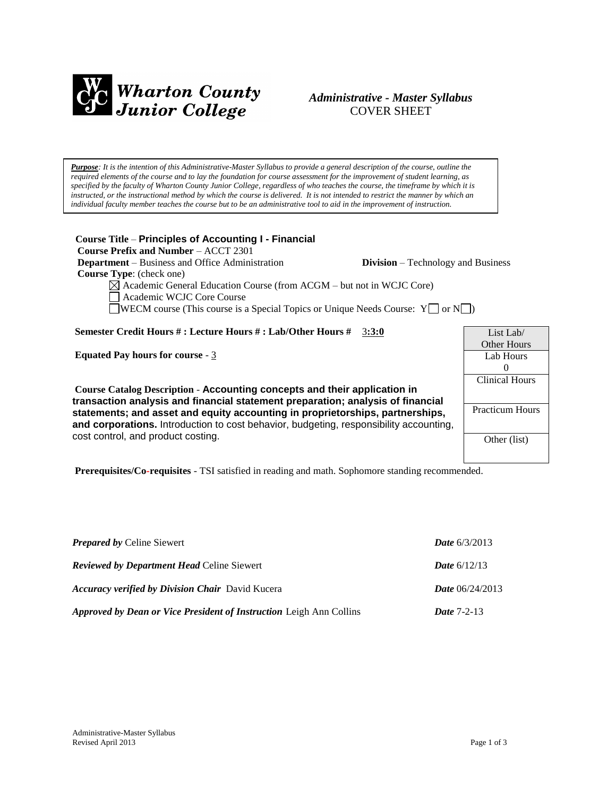

# *Administrative - Master Syllabus*  COVER SHEET

*Purpose: It is the intention of this Administrative-Master Syllabus to provide a general description of the course, outline the required elements of the course and to lay the foundation for course assessment for the improvement of student learning, as specified by the faculty of Wharton County Junior College, regardless of who teaches the course, the timeframe by which it is instructed, or the instructional method by which the course is delivered. It is not intended to restrict the manner by which an individual faculty member teaches the course but to be an administrative tool to aid in the improvement of instruction.*

**Course Title** – **Principles of Accounting I - Financial Course Prefix and Number** – ACCT 2301 **Department** – Business and Office Administration **Division** – Technology and Business  **Course Type**: (check one) Academic General Education Course (from ACGM – but not in WCJC Core) Academic WCJC Core Course WECM course (This course is a Special Topics or Unique Needs Course:  $Y \Box$  or  $N \Box$ ) **Semester Credit Hours # : Lecture Hours # : Lab/Other Hours #** 3**:3:0 Equated Pay hours for course** - 3 **Course Catalog Description** - **Accounting concepts and their application in transaction analysis and financial statement preparation; analysis of financial statements; and asset and equity accounting in proprietorships, partnerships, and corporations.** Introduction to cost behavior, budgeting, responsibility accounting, cost control, and product costing. **Prerequisites/Co-requisites** - TSI satisfied in reading and math. Sophomore standing recommended. List Lab/ Other Hours Lab Hours  $\Omega$ Clinical Hours Practicum Hours Other (list)

| <b>Prepared by Celine Siewert</b>                                          | <b>Date</b> $6/3/2013$   |
|----------------------------------------------------------------------------|--------------------------|
| <b>Reviewed by Department Head Celine Siewert</b>                          | <b>Date</b> $6/12/13$    |
| <b>Accuracy verified by Division Chair</b> David Kucera                    | <b>Date</b> $06/24/2013$ |
| <b>Approved by Dean or Vice President of Instruction Leigh Ann Collins</b> | <b>Date 7-2-13</b>       |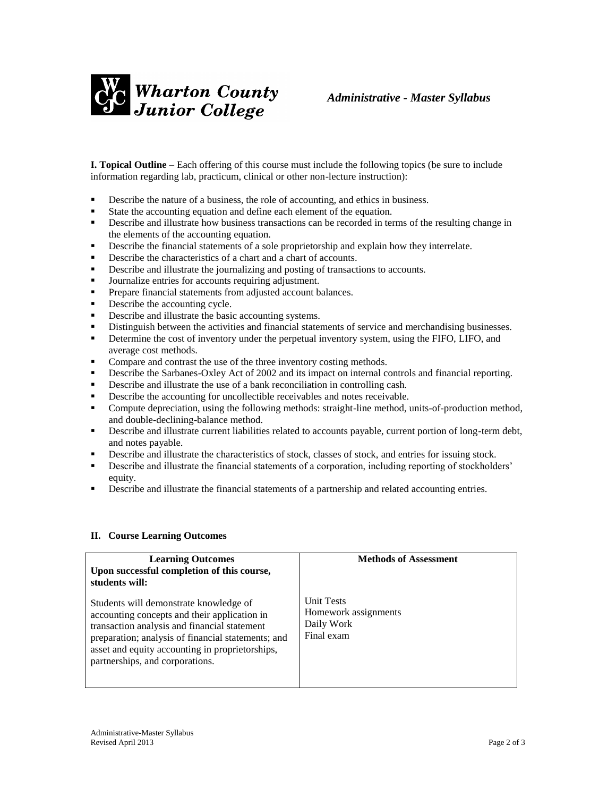

**I. Topical Outline** – Each offering of this course must include the following topics (be sure to include information regarding lab, practicum, clinical or other non-lecture instruction):

- Describe the nature of a business, the role of accounting, and ethics in business.
- State the accounting equation and define each element of the equation.
- **EXECRIPE 4** Describe and illustrate how business transactions can be recorded in terms of the resulting change in the elements of the accounting equation.
- **•** Describe the financial statements of a sole proprietorship and explain how they interrelate.
- Describe the characteristics of a chart and a chart of accounts.
- **•** Describe and illustrate the journalizing and posting of transactions to accounts.
- Journalize entries for accounts requiring adjustment.
- **Prepare financial statements from adjusted account balances.**
- Describe the accounting cycle.
- Describe and illustrate the basic accounting systems.
- Distinguish between the activities and financial statements of service and merchandising businesses.
- **•** Determine the cost of inventory under the perpetual inventory system, using the FIFO, LIFO, and average cost methods.
- **•** Compare and contrast the use of the three inventory costing methods.
- **•** Describe the Sarbanes-Oxley Act of 2002 and its impact on internal controls and financial reporting.
- Describe and illustrate the use of a bank reconciliation in controlling cash.
- Describe the accounting for uncollectible receivables and notes receivable.
- Compute depreciation, using the following methods: straight-line method, units-of-production method, and double-declining-balance method.
- **•** Describe and illustrate current liabilities related to accounts payable, current portion of long-term debt, and notes payable.
- **•** Describe and illustrate the characteristics of stock, classes of stock, and entries for issuing stock.
- Describe and illustrate the financial statements of a corporation, including reporting of stockholders' equity.
- **•** Describe and illustrate the financial statements of a partnership and related accounting entries.

#### **II. Course Learning Outcomes**

| <b>Learning Outcomes</b><br>Upon successful completion of this course,<br>students will:                                                                                                                                                                                           | <b>Methods of Assessment</b>                                          |
|------------------------------------------------------------------------------------------------------------------------------------------------------------------------------------------------------------------------------------------------------------------------------------|-----------------------------------------------------------------------|
| Students will demonstrate knowledge of<br>accounting concepts and their application in<br>transaction analysis and financial statement<br>preparation; analysis of financial statements; and<br>asset and equity accounting in proprietorships,<br>partnerships, and corporations. | <b>Unit Tests</b><br>Homework assignments<br>Daily Work<br>Final exam |